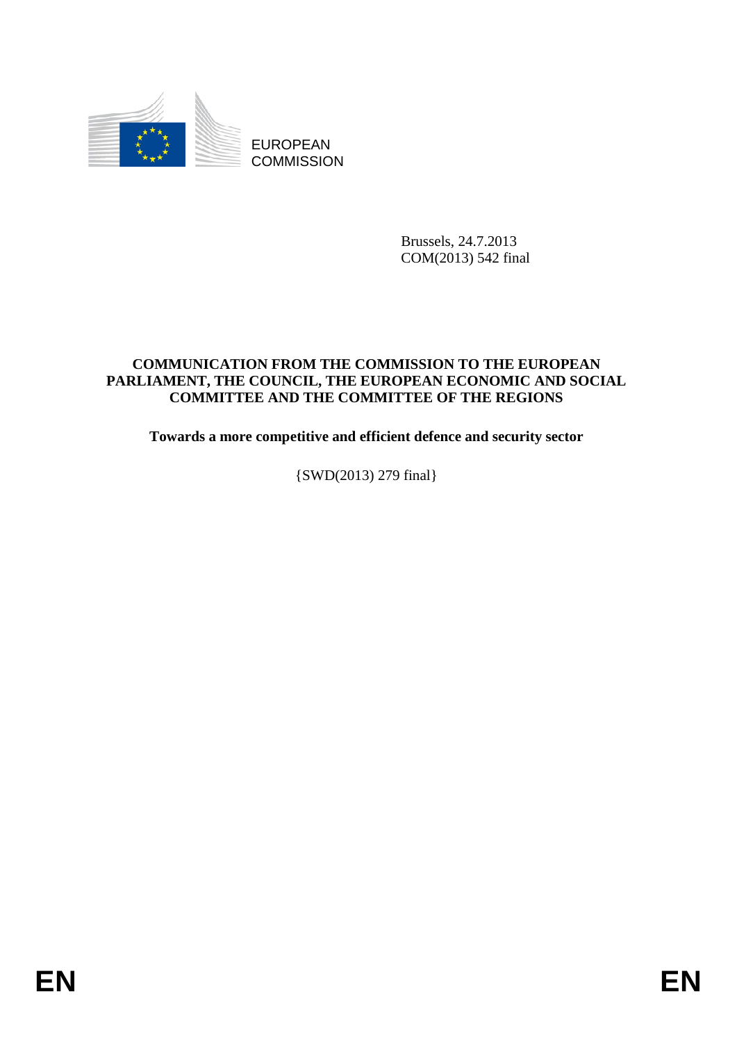

EUROPEAN **COMMISSION** 

> Brussels, 24.7.2013 COM(2013) 542 final

#### **COMMUNICATION FROM THE COMMISSION TO THE EUROPEAN PARLIAMENT, THE COUNCIL, THE EUROPEAN ECONOMIC AND SOCIAL COMMITTEE AND THE COMMITTEE OF THE REGIONS**

**Towards a more competitive and efficient defence and security sector** 

{SWD(2013) 279 final}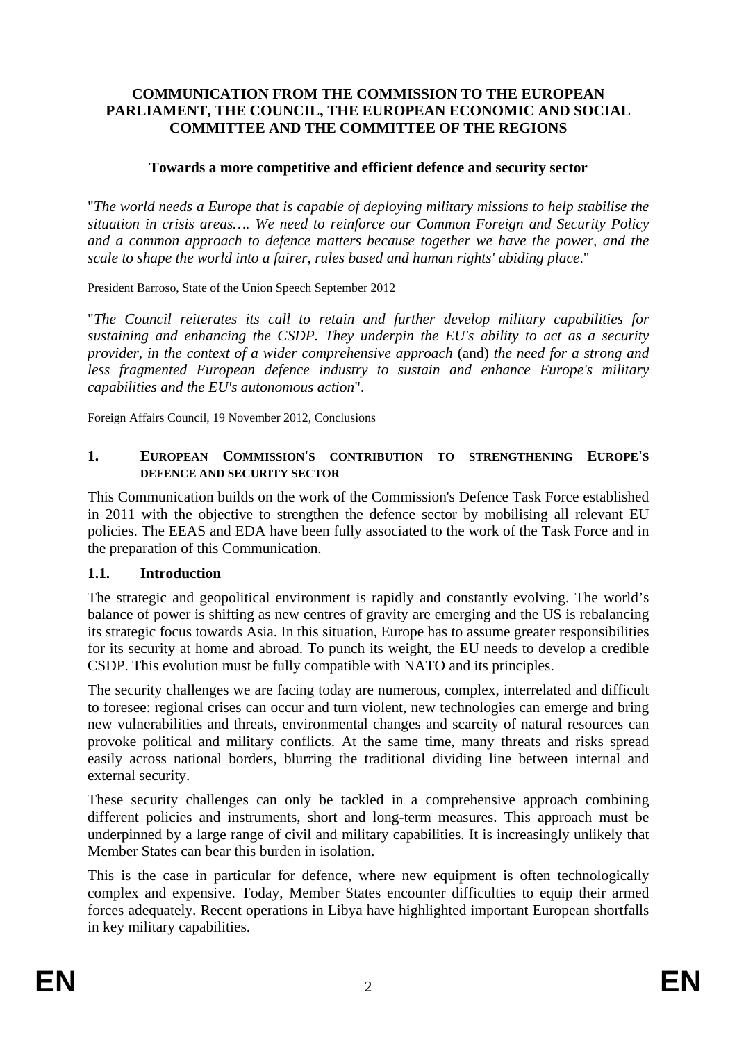#### **COMMUNICATION FROM THE COMMISSION TO THE EUROPEAN PARLIAMENT, THE COUNCIL, THE EUROPEAN ECONOMIC AND SOCIAL COMMITTEE AND THE COMMITTEE OF THE REGIONS**

#### **Towards a more competitive and efficient defence and security sector**

"*The world needs a Europe that is capable of deploying military missions to help stabilise the situation in crisis areas…. We need to reinforce our Common Foreign and Security Policy and a common approach to defence matters because together we have the power, and the scale to shape the world into a fairer, rules based and human rights' abiding place*."

President Barroso, State of the Union Speech September 2012

"*The Council reiterates its call to retain and further develop military capabilities for sustaining and enhancing the CSDP. They underpin the EU's ability to act as a security provider, in the context of a wider comprehensive approach* (and) *the need for a strong and less fragmented European defence industry to sustain and enhance Europe's military capabilities and the EU's autonomous action*".

Foreign Affairs Council, 19 November 2012, Conclusions

#### **1. EUROPEAN COMMISSION'S CONTRIBUTION TO STRENGTHENING EUROPE'S DEFENCE AND SECURITY SECTOR**

This Communication builds on the work of the Commission's Defence Task Force established in 2011 with the objective to strengthen the defence sector by mobilising all relevant EU policies. The EEAS and EDA have been fully associated to the work of the Task Force and in the preparation of this Communication.

#### **1.1. Introduction**

The strategic and geopolitical environment is rapidly and constantly evolving. The world's balance of power is shifting as new centres of gravity are emerging and the US is rebalancing its strategic focus towards Asia. In this situation, Europe has to assume greater responsibilities for its security at home and abroad. To punch its weight, the EU needs to develop a credible CSDP. This evolution must be fully compatible with NATO and its principles.

The security challenges we are facing today are numerous, complex, interrelated and difficult to foresee: regional crises can occur and turn violent, new technologies can emerge and bring new vulnerabilities and threats, environmental changes and scarcity of natural resources can provoke political and military conflicts. At the same time, many threats and risks spread easily across national borders, blurring the traditional dividing line between internal and external security.

These security challenges can only be tackled in a comprehensive approach combining different policies and instruments, short and long-term measures. This approach must be underpinned by a large range of civil and military capabilities. It is increasingly unlikely that Member States can bear this burden in isolation.

This is the case in particular for defence, where new equipment is often technologically complex and expensive. Today, Member States encounter difficulties to equip their armed forces adequately. Recent operations in Libya have highlighted important European shortfalls in key military capabilities.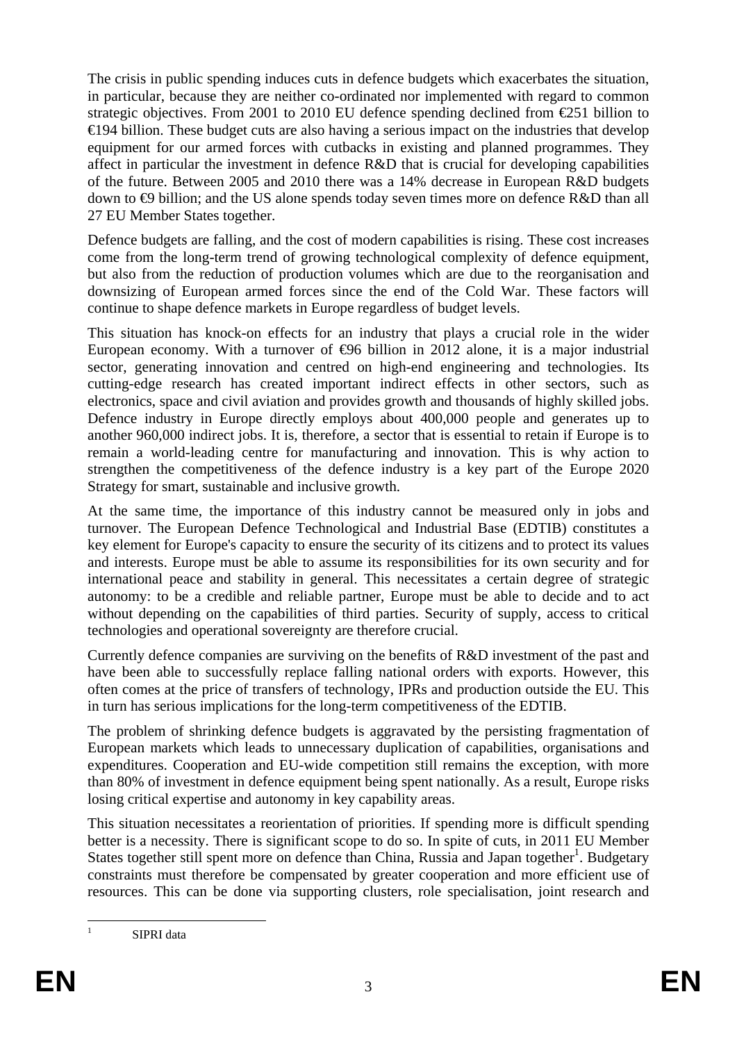The crisis in public spending induces cuts in defence budgets which exacerbates the situation, in particular, because they are neither co-ordinated nor implemented with regard to common strategic objectives. From 2001 to 2010 EU defence spending declined from €251 billion to €194 billion. These budget cuts are also having a serious impact on the industries that develop equipment for our armed forces with cutbacks in existing and planned programmes. They affect in particular the investment in defence R&D that is crucial for developing capabilities of the future. Between 2005 and 2010 there was a 14% decrease in European R&D budgets down to €9 billion; and the US alone spends today seven times more on defence R&D than all 27 EU Member States together.

Defence budgets are falling, and the cost of modern capabilities is rising. These cost increases come from the long-term trend of growing technological complexity of defence equipment, but also from the reduction of production volumes which are due to the reorganisation and downsizing of European armed forces since the end of the Cold War. These factors will continue to shape defence markets in Europe regardless of budget levels.

This situation has knock-on effects for an industry that plays a crucial role in the wider European economy. With a turnover of  $\Theta$ 6 billion in 2012 alone, it is a major industrial sector, generating innovation and centred on high-end engineering and technologies. Its cutting-edge research has created important indirect effects in other sectors, such as electronics, space and civil aviation and provides growth and thousands of highly skilled jobs. Defence industry in Europe directly employs about 400,000 people and generates up to another 960,000 indirect jobs. It is, therefore, a sector that is essential to retain if Europe is to remain a world-leading centre for manufacturing and innovation. This is why action to strengthen the competitiveness of the defence industry is a key part of the Europe 2020 Strategy for smart, sustainable and inclusive growth.

At the same time, the importance of this industry cannot be measured only in jobs and turnover. The European Defence Technological and Industrial Base (EDTIB) constitutes a key element for Europe's capacity to ensure the security of its citizens and to protect its values and interests. Europe must be able to assume its responsibilities for its own security and for international peace and stability in general. This necessitates a certain degree of strategic autonomy: to be a credible and reliable partner, Europe must be able to decide and to act without depending on the capabilities of third parties. Security of supply, access to critical technologies and operational sovereignty are therefore crucial.

Currently defence companies are surviving on the benefits of R&D investment of the past and have been able to successfully replace falling national orders with exports. However, this often comes at the price of transfers of technology, IPRs and production outside the EU. This in turn has serious implications for the long-term competitiveness of the EDTIB.

The problem of shrinking defence budgets is aggravated by the persisting fragmentation of European markets which leads to unnecessary duplication of capabilities, organisations and expenditures. Cooperation and EU-wide competition still remains the exception, with more than 80% of investment in defence equipment being spent nationally. As a result, Europe risks losing critical expertise and autonomy in key capability areas.

This situation necessitates a reorientation of priorities. If spending more is difficult spending better is a necessity. There is significant scope to do so. In spite of cuts, in 2011 EU Member States together still spent more on defence than China, Russia and Japan together<sup>1</sup>. Budgetary constraints must therefore be compensated by greater cooperation and more efficient use of resources. This can be done via supporting clusters, role specialisation, joint research and

 $\frac{1}{1}$ 

SIPRI data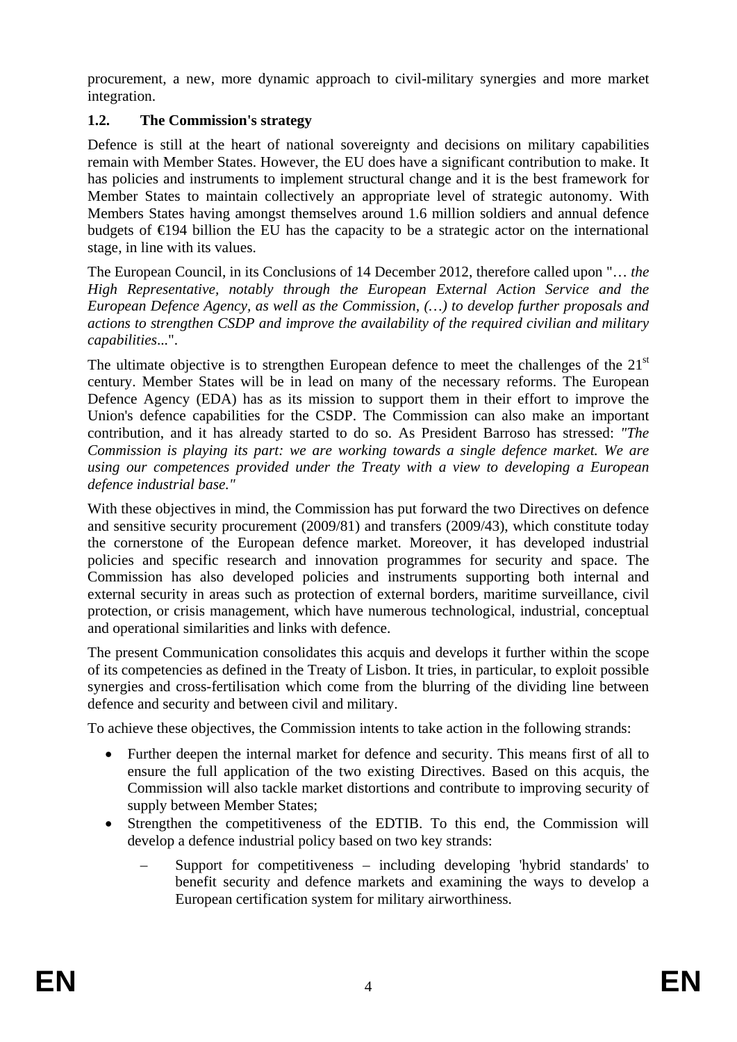procurement, a new, more dynamic approach to civil-military synergies and more market integration.

### **1.2. The Commission's strategy**

Defence is still at the heart of national sovereignty and decisions on military capabilities remain with Member States. However, the EU does have a significant contribution to make. It has policies and instruments to implement structural change and it is the best framework for Member States to maintain collectively an appropriate level of strategic autonomy. With Members States having amongst themselves around 1.6 million soldiers and annual defence budgets of €194 billion the EU has the capacity to be a strategic actor on the international stage, in line with its values.

The European Council, in its Conclusions of 14 December 2012, therefore called upon "… *the High Representative, notably through the European External Action Service and the European Defence Agency, as well as the Commission, (…) to develop further proposals and actions to strengthen CSDP and improve the availability of the required civilian and military capabilities*...".

The ultimate objective is to strengthen European defence to meet the challenges of the  $21<sup>st</sup>$ century. Member States will be in lead on many of the necessary reforms. The European Defence Agency (EDA) has as its mission to support them in their effort to improve the Union's defence capabilities for the CSDP. The Commission can also make an important contribution, and it has already started to do so. As President Barroso has stressed: *"The Commission is playing its part: we are working towards a single defence market. We are using our competences provided under the Treaty with a view to developing a European defence industrial base."* 

With these objectives in mind, the Commission has put forward the two Directives on defence and sensitive security procurement (2009/81) and transfers (2009/43), which constitute today the cornerstone of the European defence market. Moreover, it has developed industrial policies and specific research and innovation programmes for security and space. The Commission has also developed policies and instruments supporting both internal and external security in areas such as protection of external borders, maritime surveillance, civil protection, or crisis management, which have numerous technological, industrial, conceptual and operational similarities and links with defence.

The present Communication consolidates this acquis and develops it further within the scope of its competencies as defined in the Treaty of Lisbon. It tries, in particular, to exploit possible synergies and cross-fertilisation which come from the blurring of the dividing line between defence and security and between civil and military.

To achieve these objectives, the Commission intents to take action in the following strands:

- Further deepen the internal market for defence and security. This means first of all to ensure the full application of the two existing Directives. Based on this acquis, the Commission will also tackle market distortions and contribute to improving security of supply between Member States;
- Strengthen the competitiveness of the EDTIB. To this end, the Commission will develop a defence industrial policy based on two key strands:
	- Support for competitiveness including developing 'hybrid standards' to benefit security and defence markets and examining the ways to develop a European certification system for military airworthiness.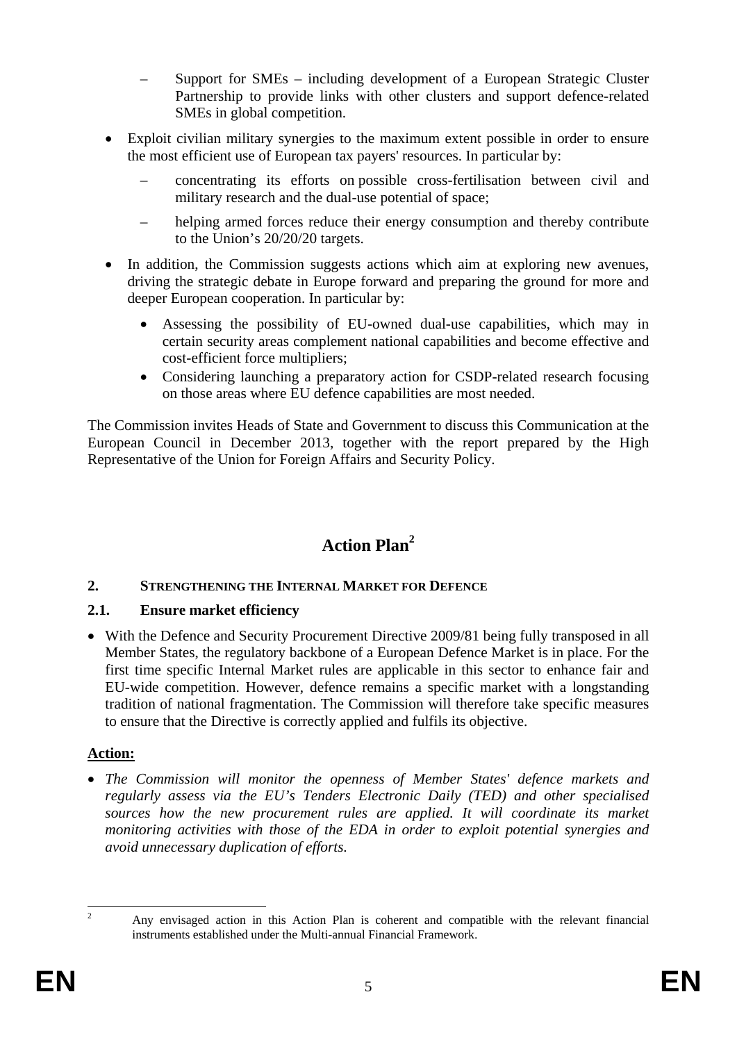- Support for SMEs including development of a European Strategic Cluster Partnership to provide links with other clusters and support defence-related SMEs in global competition.
- Exploit civilian military synergies to the maximum extent possible in order to ensure the most efficient use of European tax payers' resources. In particular by:
	- concentrating its efforts on possible cross-fertilisation between civil and military research and the dual-use potential of space;
	- helping armed forces reduce their energy consumption and thereby contribute to the Union's 20/20/20 targets.
- In addition, the Commission suggests actions which aim at exploring new avenues, driving the strategic debate in Europe forward and preparing the ground for more and deeper European cooperation. In particular by:
	- Assessing the possibility of EU-owned dual-use capabilities, which may in certain security areas complement national capabilities and become effective and cost-efficient force multipliers;
	- Considering launching a preparatory action for CSDP-related research focusing on those areas where EU defence capabilities are most needed.

The Commission invites Heads of State and Government to discuss this Communication at the European Council in December 2013, together with the report prepared by the High Representative of the Union for Foreign Affairs and Security Policy.

# **Action Plan2**

#### **2. STRENGTHENING THE INTERNAL MARKET FOR DEFENCE**

#### **2.1. Ensure market efficiency**

• With the Defence and Security Procurement Directive 2009/81 being fully transposed in all Member States, the regulatory backbone of a European Defence Market is in place. For the first time specific Internal Market rules are applicable in this sector to enhance fair and EU-wide competition. However, defence remains a specific market with a longstanding tradition of national fragmentation. The Commission will therefore take specific measures to ensure that the Directive is correctly applied and fulfils its objective.

#### **Action:**

• *The Commission will monitor the openness of Member States' defence markets and regularly assess via the EU's Tenders Electronic Daily (TED) and other specialised*  sources how the new procurement rules are applied. It will coordinate its market *monitoring activities with those of the EDA in order to exploit potential synergies and avoid unnecessary duplication of efforts.* 

 $\frac{1}{2}$ 

Any envisaged action in this Action Plan is coherent and compatible with the relevant financial instruments established under the Multi-annual Financial Framework.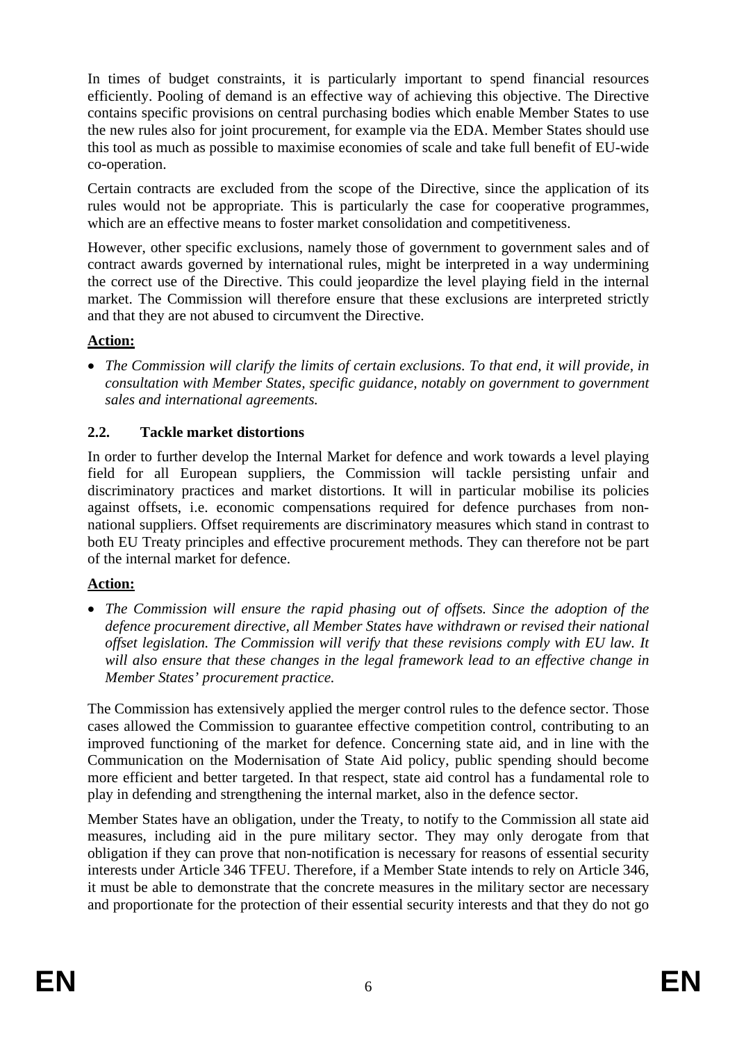In times of budget constraints, it is particularly important to spend financial resources efficiently. Pooling of demand is an effective way of achieving this objective. The Directive contains specific provisions on central purchasing bodies which enable Member States to use the new rules also for joint procurement, for example via the EDA. Member States should use this tool as much as possible to maximise economies of scale and take full benefit of EU-wide co-operation.

Certain contracts are excluded from the scope of the Directive, since the application of its rules would not be appropriate. This is particularly the case for cooperative programmes, which are an effective means to foster market consolidation and competitiveness.

However, other specific exclusions, namely those of government to government sales and of contract awards governed by international rules, might be interpreted in a way undermining the correct use of the Directive. This could jeopardize the level playing field in the internal market. The Commission will therefore ensure that these exclusions are interpreted strictly and that they are not abused to circumvent the Directive.

#### **Action:**

• *The Commission will clarify the limits of certain exclusions. To that end, it will provide, in consultation with Member States, specific guidance, notably on government to government sales and international agreements.* 

### **2.2. Tackle market distortions**

In order to further develop the Internal Market for defence and work towards a level playing field for all European suppliers, the Commission will tackle persisting unfair and discriminatory practices and market distortions. It will in particular mobilise its policies against offsets, i.e. economic compensations required for defence purchases from nonnational suppliers. Offset requirements are discriminatory measures which stand in contrast to both EU Treaty principles and effective procurement methods. They can therefore not be part of the internal market for defence.

# **Action:**

• *The Commission will ensure the rapid phasing out of offsets. Since the adoption of the defence procurement directive, all Member States have withdrawn or revised their national offset legislation. The Commission will verify that these revisions comply with EU law. It will also ensure that these changes in the legal framework lead to an effective change in Member States' procurement practice.* 

The Commission has extensively applied the merger control rules to the defence sector. Those cases allowed the Commission to guarantee effective competition control, contributing to an improved functioning of the market for defence. Concerning state aid, and in line with the Communication on the Modernisation of State Aid policy, public spending should become more efficient and better targeted. In that respect, state aid control has a fundamental role to play in defending and strengthening the internal market, also in the defence sector.

Member States have an obligation, under the Treaty, to notify to the Commission all state aid measures, including aid in the pure military sector. They may only derogate from that obligation if they can prove that non-notification is necessary for reasons of essential security interests under Article 346 TFEU. Therefore, if a Member State intends to rely on Article 346, it must be able to demonstrate that the concrete measures in the military sector are necessary and proportionate for the protection of their essential security interests and that they do not go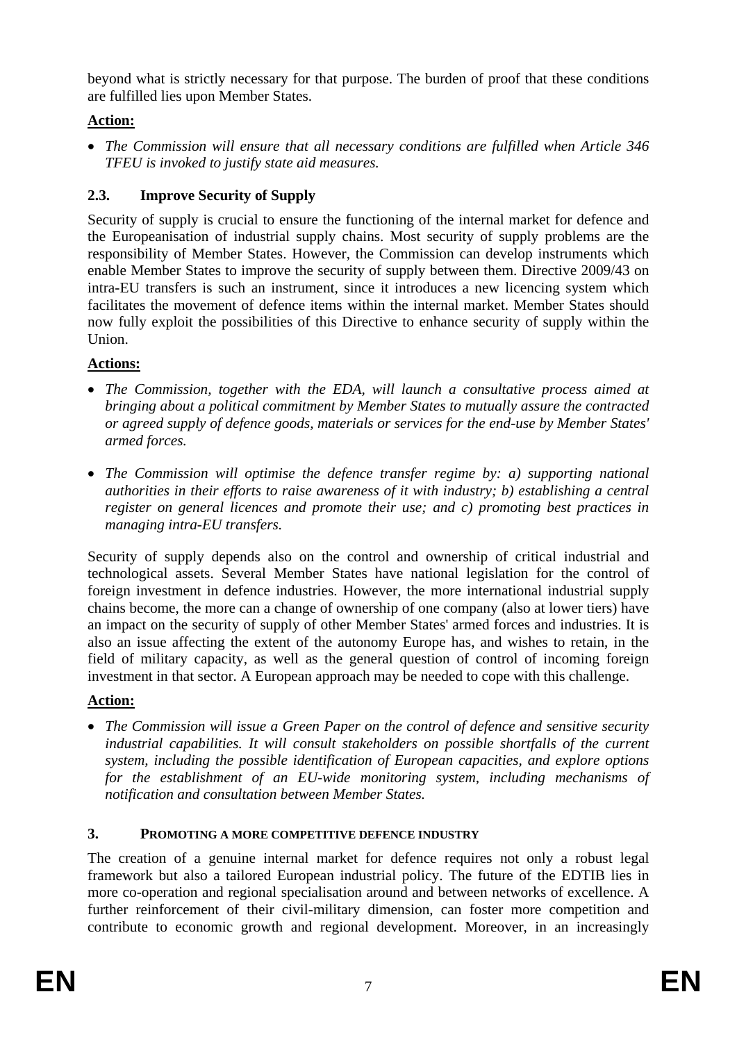beyond what is strictly necessary for that purpose. The burden of proof that these conditions are fulfilled lies upon Member States.

# **Action:**

• *The Commission will ensure that all necessary conditions are fulfilled when Article 346 TFEU is invoked to justify state aid measures.* 

# **2.3. Improve Security of Supply**

Security of supply is crucial to ensure the functioning of the internal market for defence and the Europeanisation of industrial supply chains. Most security of supply problems are the responsibility of Member States. However, the Commission can develop instruments which enable Member States to improve the security of supply between them. Directive 2009/43 on intra-EU transfers is such an instrument, since it introduces a new licencing system which facilitates the movement of defence items within the internal market. Member States should now fully exploit the possibilities of this Directive to enhance security of supply within the Union.

# **Actions:**

- *The Commission, together with the EDA, will launch a consultative process aimed at bringing about a political commitment by Member States to mutually assure the contracted or agreed supply of defence goods, materials or services for the end-use by Member States' armed forces.*
- *The Commission will optimise the defence transfer regime by: a) supporting national authorities in their efforts to raise awareness of it with industry; b) establishing a central register on general licences and promote their use; and c) promoting best practices in managing intra-EU transfers.*

Security of supply depends also on the control and ownership of critical industrial and technological assets. Several Member States have national legislation for the control of foreign investment in defence industries. However, the more international industrial supply chains become, the more can a change of ownership of one company (also at lower tiers) have an impact on the security of supply of other Member States' armed forces and industries. It is also an issue affecting the extent of the autonomy Europe has, and wishes to retain, in the field of military capacity, as well as the general question of control of incoming foreign investment in that sector. A European approach may be needed to cope with this challenge.

# **Action:**

• *The Commission will issue a Green Paper on the control of defence and sensitive security industrial capabilities. It will consult stakeholders on possible shortfalls of the current system, including the possible identification of European capacities, and explore options for the establishment of an EU-wide monitoring system, including mechanisms of notification and consultation between Member States.* 

# **3. PROMOTING A MORE COMPETITIVE DEFENCE INDUSTRY**

The creation of a genuine internal market for defence requires not only a robust legal framework but also a tailored European industrial policy. The future of the EDTIB lies in more co-operation and regional specialisation around and between networks of excellence. A further reinforcement of their civil-military dimension, can foster more competition and contribute to economic growth and regional development. Moreover, in an increasingly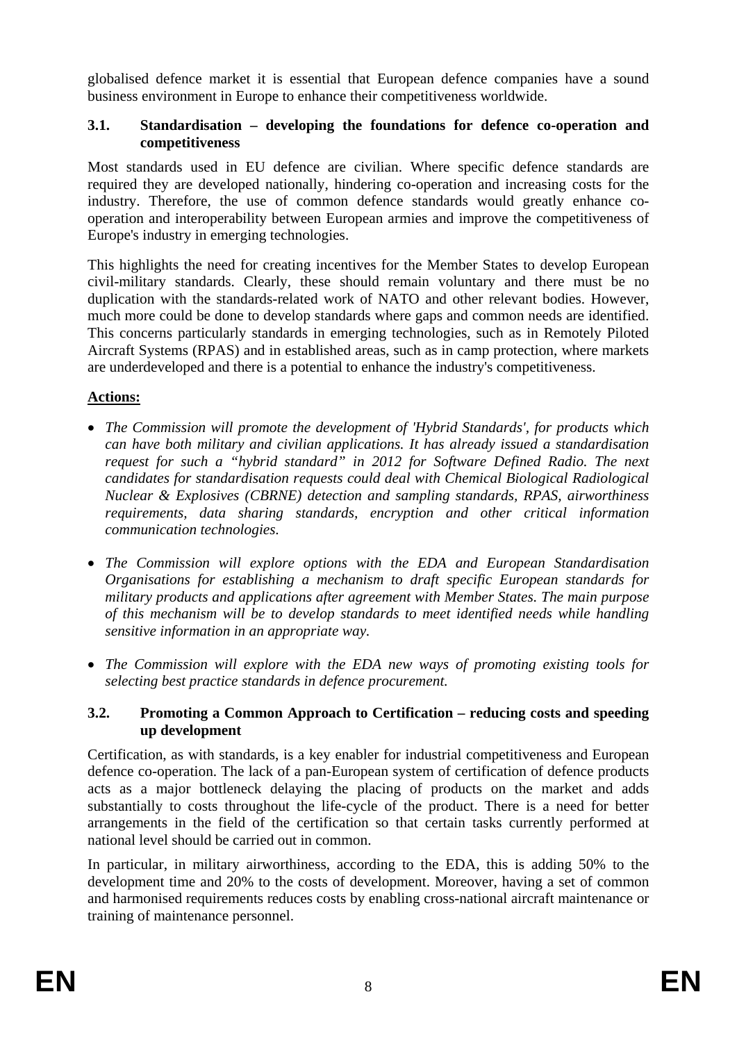globalised defence market it is essential that European defence companies have a sound business environment in Europe to enhance their competitiveness worldwide.

#### **3.1. Standardisation – developing the foundations for defence co-operation and competitiveness**

Most standards used in EU defence are civilian. Where specific defence standards are required they are developed nationally, hindering co-operation and increasing costs for the industry. Therefore, the use of common defence standards would greatly enhance cooperation and interoperability between European armies and improve the competitiveness of Europe's industry in emerging technologies.

This highlights the need for creating incentives for the Member States to develop European civil-military standards. Clearly, these should remain voluntary and there must be no duplication with the standards-related work of NATO and other relevant bodies. However, much more could be done to develop standards where gaps and common needs are identified. This concerns particularly standards in emerging technologies, such as in Remotely Piloted Aircraft Systems (RPAS) and in established areas, such as in camp protection, where markets are underdeveloped and there is a potential to enhance the industry's competitiveness.

### **Actions:**

- *The Commission will promote the development of 'Hybrid Standards', for products which can have both military and civilian applications. It has already issued a standardisation request for such a "hybrid standard" in 2012 for Software Defined Radio. The next candidates for standardisation requests could deal with Chemical Biological Radiological Nuclear & Explosives (CBRNE) detection and sampling standards, RPAS, airworthiness requirements, data sharing standards, encryption and other critical information communication technologies.*
- *The Commission will explore options with the EDA and European Standardisation Organisations for establishing a mechanism to draft specific European standards for military products and applications after agreement with Member States. The main purpose of this mechanism will be to develop standards to meet identified needs while handling sensitive information in an appropriate way.*
- *The Commission will explore with the EDA new ways of promoting existing tools for selecting best practice standards in defence procurement.*

#### **3.2. Promoting a Common Approach to Certification – reducing costs and speeding up development**

Certification, as with standards, is a key enabler for industrial competitiveness and European defence co-operation. The lack of a pan-European system of certification of defence products acts as a major bottleneck delaying the placing of products on the market and adds substantially to costs throughout the life-cycle of the product. There is a need for better arrangements in the field of the certification so that certain tasks currently performed at national level should be carried out in common.

In particular, in military airworthiness, according to the EDA, this is adding 50% to the development time and 20% to the costs of development. Moreover, having a set of common and harmonised requirements reduces costs by enabling cross-national aircraft maintenance or training of maintenance personnel.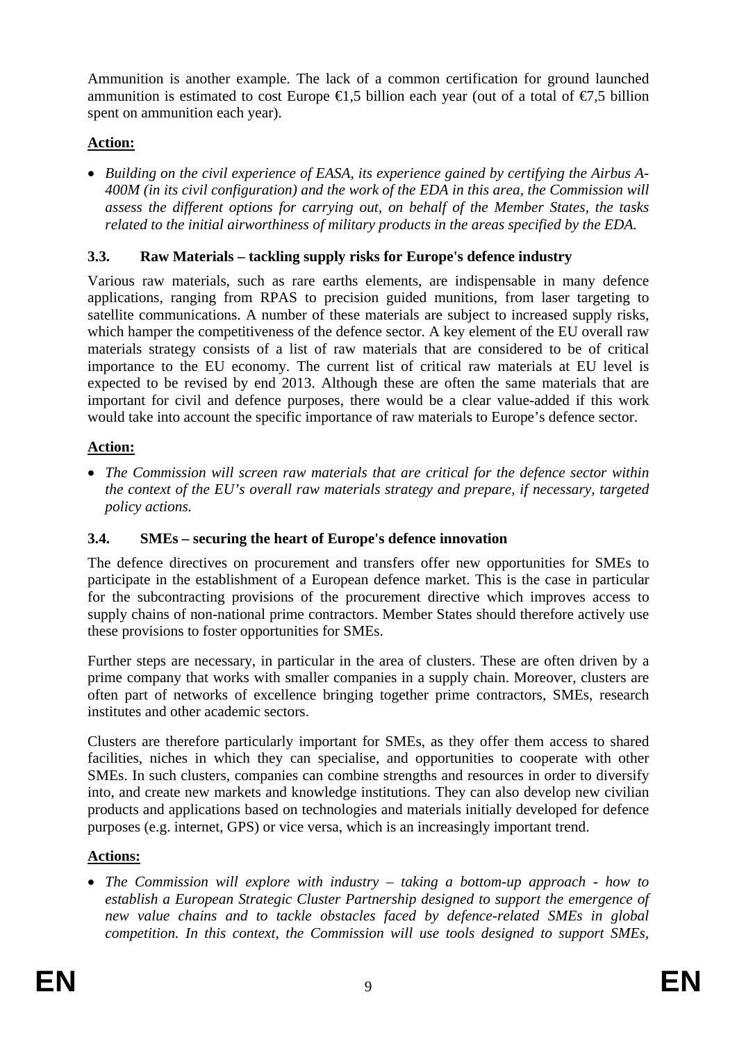Ammunition is another example. The lack of a common certification for ground launched ammunition is estimated to cost Europe  $\in$ 1,5 billion each year (out of a total of  $\in$ 7,5 billion spent on ammunition each year).

### **Action:**

• *Building on the civil experience of EASA, its experience gained by certifying the Airbus A-400M (in its civil configuration) and the work of the EDA in this area, the Commission will assess the different options for carrying out, on behalf of the Member States, the tasks related to the initial airworthiness of military products in the areas specified by the EDA.* 

### **3.3. Raw Materials – tackling supply risks for Europe's defence industry**

Various raw materials, such as rare earths elements, are indispensable in many defence applications, ranging from RPAS to precision guided munitions, from laser targeting to satellite communications. A number of these materials are subject to increased supply risks, which hamper the competitiveness of the defence sector. A key element of the EU overall raw materials strategy consists of a list of raw materials that are considered to be of critical importance to the EU economy. The current list of critical raw materials at EU level is expected to be revised by end 2013. Although these are often the same materials that are important for civil and defence purposes, there would be a clear value-added if this work would take into account the specific importance of raw materials to Europe's defence sector.

### **Action:**

• *The Commission will screen raw materials that are critical for the defence sector within the context of the EU's overall raw materials strategy and prepare, if necessary, targeted policy actions.* 

# **3.4. SMEs – securing the heart of Europe's defence innovation**

The defence directives on procurement and transfers offer new opportunities for SMEs to participate in the establishment of a European defence market. This is the case in particular for the subcontracting provisions of the procurement directive which improves access to supply chains of non-national prime contractors. Member States should therefore actively use these provisions to foster opportunities for SMEs.

Further steps are necessary, in particular in the area of clusters. These are often driven by a prime company that works with smaller companies in a supply chain. Moreover, clusters are often part of networks of excellence bringing together prime contractors, SMEs, research institutes and other academic sectors.

Clusters are therefore particularly important for SMEs, as they offer them access to shared facilities, niches in which they can specialise, and opportunities to cooperate with other SMEs. In such clusters, companies can combine strengths and resources in order to diversify into, and create new markets and knowledge institutions. They can also develop new civilian products and applications based on technologies and materials initially developed for defence purposes (e.g. internet, GPS) or vice versa, which is an increasingly important trend.

# **Actions:**

• *The Commission will explore with industry – taking a bottom-up approach - how to establish a European Strategic Cluster Partnership designed to support the emergence of new value chains and to tackle obstacles faced by defence-related SMEs in global competition. In this context, the Commission will use tools designed to support SMEs,*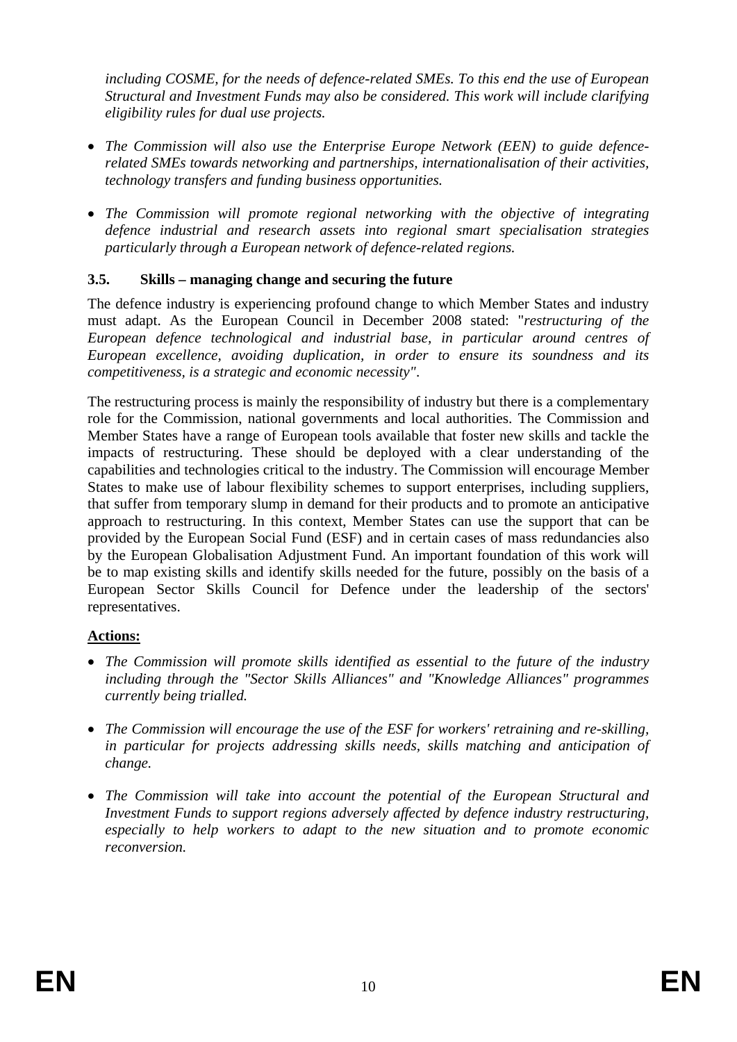*including COSME, for the needs of defence-related SMEs. To this end the use of European Structural and Investment Funds may also be considered. This work will include clarifying eligibility rules for dual use projects.* 

- *The Commission will also use the Enterprise Europe Network (EEN) to guide defencerelated SMEs towards networking and partnerships, internationalisation of their activities, technology transfers and funding business opportunities.*
- *The Commission will promote regional networking with the objective of integrating defence industrial and research assets into regional smart specialisation strategies particularly through a European network of defence-related regions.*

### **3.5. Skills – managing change and securing the future**

The defence industry is experiencing profound change to which Member States and industry must adapt. As the European Council in December 2008 stated: "*restructuring of the European defence technological and industrial base, in particular around centres of European excellence, avoiding duplication, in order to ensure its soundness and its competitiveness, is a strategic and economic necessity"*.

The restructuring process is mainly the responsibility of industry but there is a complementary role for the Commission, national governments and local authorities. The Commission and Member States have a range of European tools available that foster new skills and tackle the impacts of restructuring. These should be deployed with a clear understanding of the capabilities and technologies critical to the industry. The Commission will encourage Member States to make use of labour flexibility schemes to support enterprises, including suppliers, that suffer from temporary slump in demand for their products and to promote an anticipative approach to restructuring. In this context, Member States can use the support that can be provided by the European Social Fund (ESF) and in certain cases of mass redundancies also by the European Globalisation Adjustment Fund. An important foundation of this work will be to map existing skills and identify skills needed for the future, possibly on the basis of a European Sector Skills Council for Defence under the leadership of the sectors' representatives.

# **Actions:**

- *The Commission will promote skills identified as essential to the future of the industry including through the "Sector Skills Alliances" and "Knowledge Alliances" programmes currently being trialled.*
- *The Commission will encourage the use of the ESF for workers' retraining and re-skilling, in particular for projects addressing skills needs, skills matching and anticipation of change.*
- *The Commission will take into account the potential of the European Structural and Investment Funds to support regions adversely affected by defence industry restructuring, especially to help workers to adapt to the new situation and to promote economic reconversion.*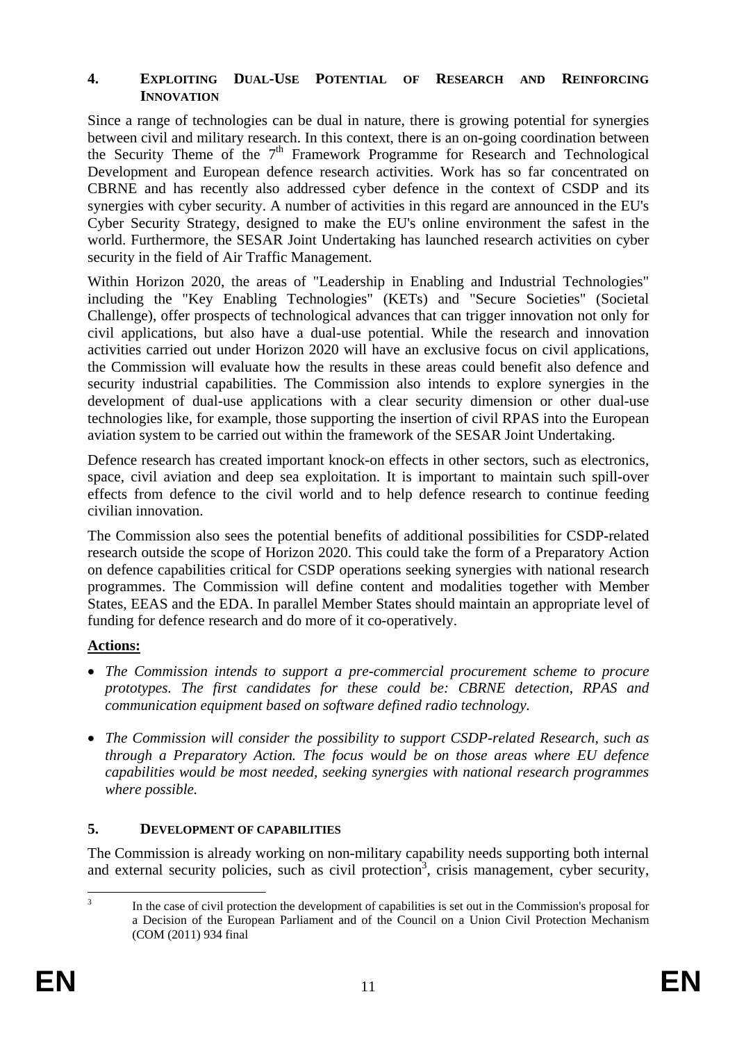#### **4. EXPLOITING DUAL-USE POTENTIAL OF RESEARCH AND REINFORCING INNOVATION**

Since a range of technologies can be dual in nature, there is growing potential for synergies between civil and military research. In this context, there is an on-going coordination between the Security Theme of the  $7<sup>th</sup>$  Framework Programme for Research and Technological Development and European defence research activities. Work has so far concentrated on CBRNE and has recently also addressed cyber defence in the context of CSDP and its synergies with cyber security. A number of activities in this regard are announced in the EU's Cyber Security Strategy, designed to make the EU's online environment the safest in the world. Furthermore, the SESAR Joint Undertaking has launched research activities on cyber security in the field of Air Traffic Management.

Within Horizon 2020, the areas of "Leadership in Enabling and Industrial Technologies" including the "Key Enabling Technologies" (KETs) and "Secure Societies" (Societal Challenge), offer prospects of technological advances that can trigger innovation not only for civil applications, but also have a dual-use potential. While the research and innovation activities carried out under Horizon 2020 will have an exclusive focus on civil applications, the Commission will evaluate how the results in these areas could benefit also defence and security industrial capabilities. The Commission also intends to explore synergies in the development of dual-use applications with a clear security dimension or other dual-use technologies like, for example, those supporting the insertion of civil RPAS into the European aviation system to be carried out within the framework of the SESAR Joint Undertaking.

Defence research has created important knock-on effects in other sectors, such as electronics, space, civil aviation and deep sea exploitation. It is important to maintain such spill-over effects from defence to the civil world and to help defence research to continue feeding civilian innovation.

The Commission also sees the potential benefits of additional possibilities for CSDP-related research outside the scope of Horizon 2020. This could take the form of a Preparatory Action on defence capabilities critical for CSDP operations seeking synergies with national research programmes. The Commission will define content and modalities together with Member States, EEAS and the EDA. In parallel Member States should maintain an appropriate level of funding for defence research and do more of it co-operatively.

#### **Actions:**

- *The Commission intends to support a pre-commercial procurement scheme to procure prototypes. The first candidates for these could be: CBRNE detection, RPAS and communication equipment based on software defined radio technology.*
- *The Commission will consider the possibility to support CSDP-related Research, such as through a Preparatory Action. The focus would be on those areas where EU defence capabilities would be most needed, seeking synergies with national research programmes where possible.*

#### **5. DEVELOPMENT OF CAPABILITIES**

The Commission is already working on non-military capability needs supporting both internal and external security policies, such as civil protection<sup>3</sup>, crisis management, cyber security,

 $\frac{1}{3}$  In the case of civil protection the development of capabilities is set out in the Commission's proposal for a Decision of the European Parliament and of the Council on a Union Civil Protection Mechanism (COM (2011) 934 final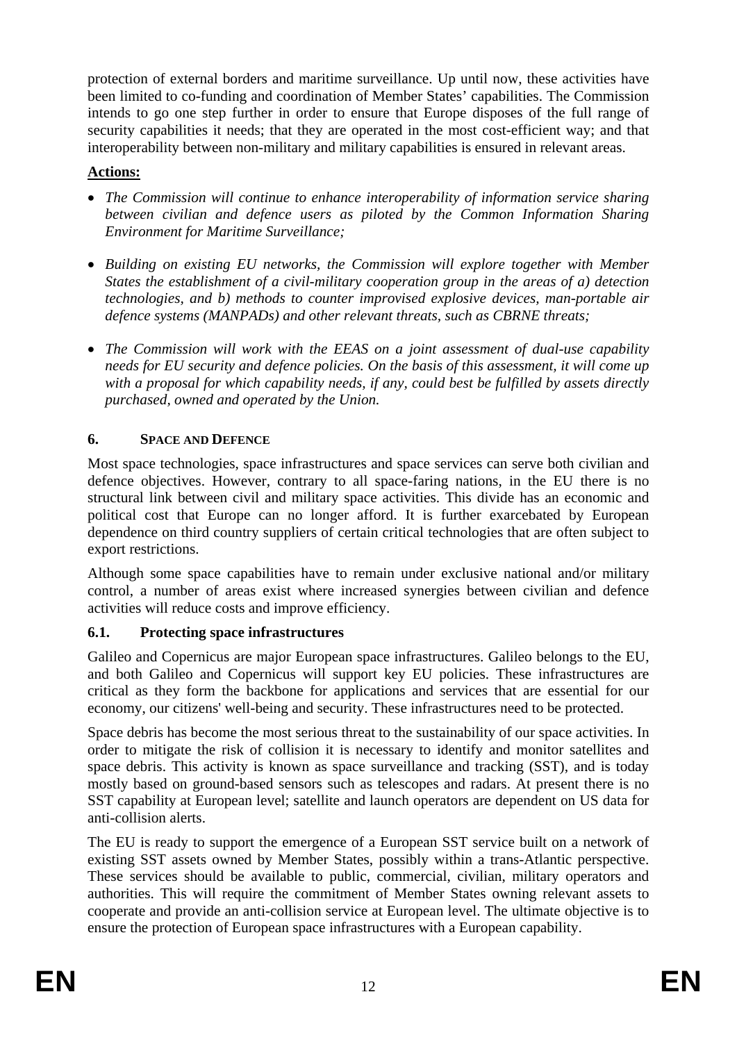protection of external borders and maritime surveillance. Up until now, these activities have been limited to co-funding and coordination of Member States' capabilities. The Commission intends to go one step further in order to ensure that Europe disposes of the full range of security capabilities it needs; that they are operated in the most cost-efficient way; and that interoperability between non-military and military capabilities is ensured in relevant areas.

### **Actions:**

- *The Commission will continue to enhance interoperability of information service sharing between civilian and defence users as piloted by the Common Information Sharing Environment for Maritime Surveillance;*
- *Building on existing EU networks, the Commission will explore together with Member States the establishment of a civil-military cooperation group in the areas of a) detection technologies, and b) methods to counter improvised explosive devices, man-portable air defence systems (MANPADs) and other relevant threats, such as CBRNE threats;*
- *The Commission will work with the EEAS on a joint assessment of dual-use capability needs for EU security and defence policies. On the basis of this assessment, it will come up with a proposal for which capability needs, if any, could best be fulfilled by assets directly purchased, owned and operated by the Union.*

### **6. SPACE AND DEFENCE**

Most space technologies, space infrastructures and space services can serve both civilian and defence objectives. However, contrary to all space-faring nations, in the EU there is no structural link between civil and military space activities. This divide has an economic and political cost that Europe can no longer afford. It is further exarcebated by European dependence on third country suppliers of certain critical technologies that are often subject to export restrictions.

Although some space capabilities have to remain under exclusive national and/or military control, a number of areas exist where increased synergies between civilian and defence activities will reduce costs and improve efficiency.

# **6.1. Protecting space infrastructures**

Galileo and Copernicus are major European space infrastructures. Galileo belongs to the EU, and both Galileo and Copernicus will support key EU policies. These infrastructures are critical as they form the backbone for applications and services that are essential for our economy, our citizens' well-being and security. These infrastructures need to be protected.

Space debris has become the most serious threat to the sustainability of our space activities. In order to mitigate the risk of collision it is necessary to identify and monitor satellites and space debris. This activity is known as space surveillance and tracking (SST), and is today mostly based on ground-based sensors such as telescopes and radars. At present there is no SST capability at European level; satellite and launch operators are dependent on US data for anti-collision alerts.

The EU is ready to support the emergence of a European SST service built on a network of existing SST assets owned by Member States, possibly within a trans-Atlantic perspective. These services should be available to public, commercial, civilian, military operators and authorities. This will require the commitment of Member States owning relevant assets to cooperate and provide an anti-collision service at European level. The ultimate objective is to ensure the protection of European space infrastructures with a European capability.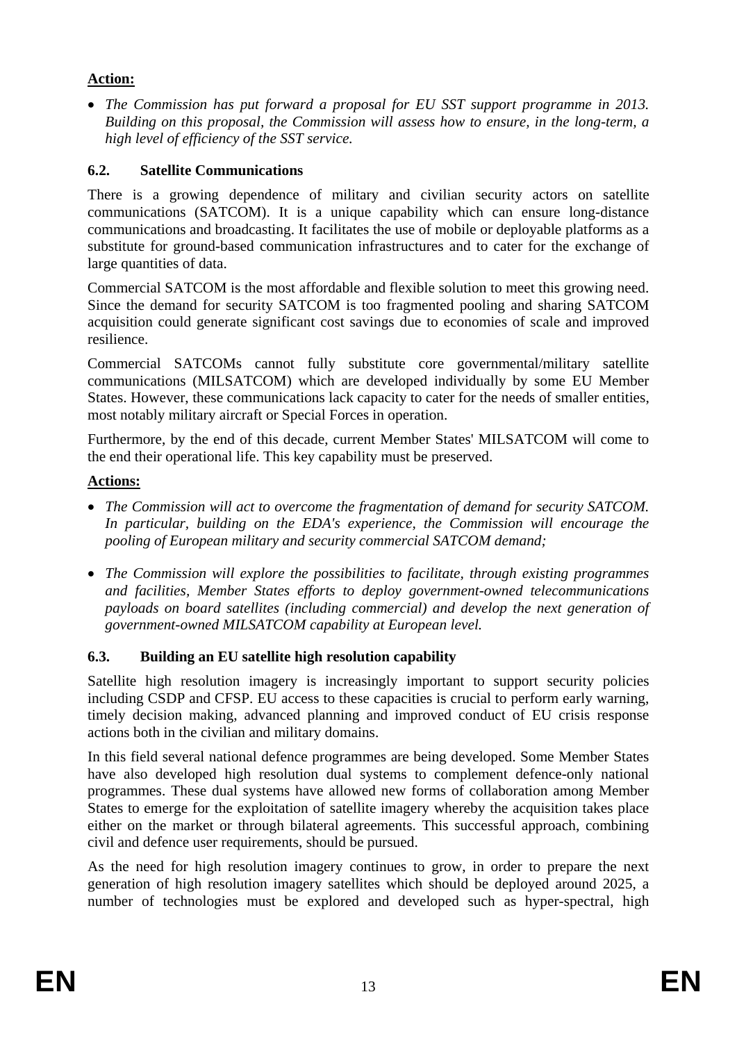### **Action:**

• *The Commission has put forward a proposal for EU SST support programme in 2013. Building on this proposal, the Commission will assess how to ensure, in the long-term, a high level of efficiency of the SST service.* 

# **6.2. Satellite Communications**

There is a growing dependence of military and civilian security actors on satellite communications (SATCOM). It is a unique capability which can ensure long-distance communications and broadcasting. It facilitates the use of mobile or deployable platforms as a substitute for ground-based communication infrastructures and to cater for the exchange of large quantities of data.

Commercial SATCOM is the most affordable and flexible solution to meet this growing need. Since the demand for security SATCOM is too fragmented pooling and sharing SATCOM acquisition could generate significant cost savings due to economies of scale and improved resilience.

Commercial SATCOMs cannot fully substitute core governmental/military satellite communications (MILSATCOM) which are developed individually by some EU Member States. However, these communications lack capacity to cater for the needs of smaller entities, most notably military aircraft or Special Forces in operation.

Furthermore, by the end of this decade, current Member States' MILSATCOM will come to the end their operational life. This key capability must be preserved.

### **Actions:**

- *The Commission will act to overcome the fragmentation of demand for security SATCOM. In particular, building on the EDA's experience, the Commission will encourage the pooling of European military and security commercial SATCOM demand;*
- *The Commission will explore the possibilities to facilitate, through existing programmes and facilities, Member States efforts to deploy government-owned telecommunications payloads on board satellites (including commercial) and develop the next generation of government-owned MILSATCOM capability at European level.*

# **6.3. Building an EU satellite high resolution capability**

Satellite high resolution imagery is increasingly important to support security policies including CSDP and CFSP. EU access to these capacities is crucial to perform early warning, timely decision making, advanced planning and improved conduct of EU crisis response actions both in the civilian and military domains.

In this field several national defence programmes are being developed. Some Member States have also developed high resolution dual systems to complement defence-only national programmes. These dual systems have allowed new forms of collaboration among Member States to emerge for the exploitation of satellite imagery whereby the acquisition takes place either on the market or through bilateral agreements. This successful approach, combining civil and defence user requirements, should be pursued.

As the need for high resolution imagery continues to grow, in order to prepare the next generation of high resolution imagery satellites which should be deployed around 2025, a number of technologies must be explored and developed such as hyper-spectral, high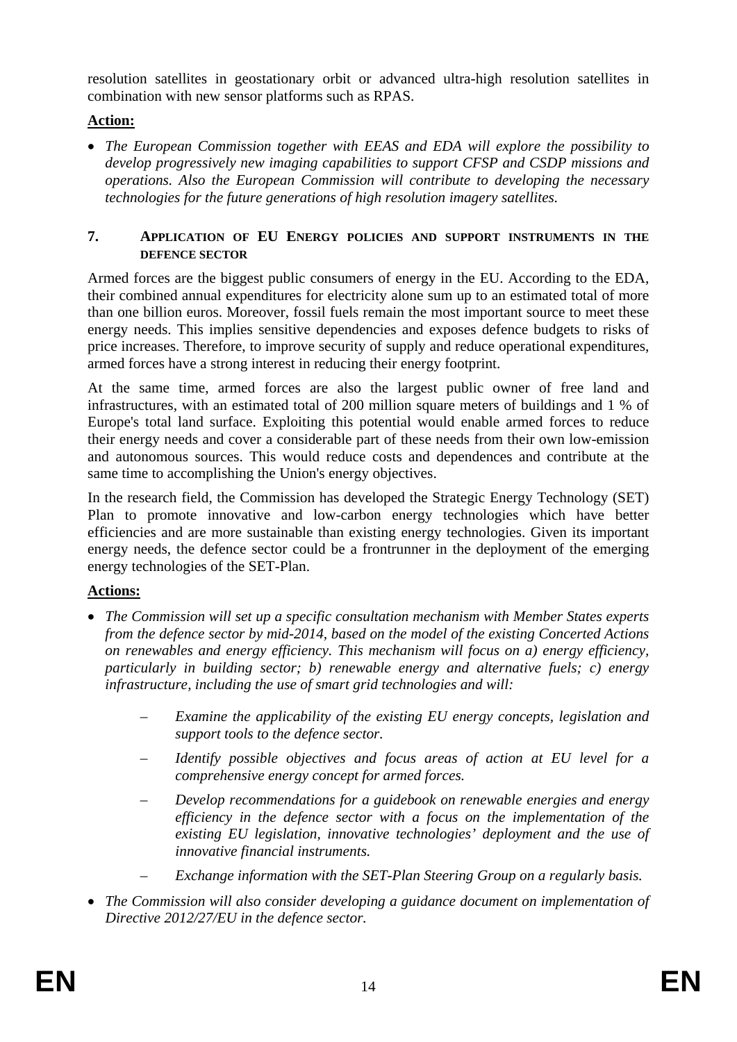resolution satellites in geostationary orbit or advanced ultra-high resolution satellites in combination with new sensor platforms such as RPAS.

# **Action:**

• *The European Commission together with EEAS and EDA will explore the possibility to develop progressively new imaging capabilities to support CFSP and CSDP missions and operations. Also the European Commission will contribute to developing the necessary technologies for the future generations of high resolution imagery satellites.* 

#### **7. APPLICATION OF EU ENERGY POLICIES AND SUPPORT INSTRUMENTS IN THE DEFENCE SECTOR**

Armed forces are the biggest public consumers of energy in the EU. According to the EDA, their combined annual expenditures for electricity alone sum up to an estimated total of more than one billion euros. Moreover, fossil fuels remain the most important source to meet these energy needs. This implies sensitive dependencies and exposes defence budgets to risks of price increases. Therefore, to improve security of supply and reduce operational expenditures, armed forces have a strong interest in reducing their energy footprint.

At the same time, armed forces are also the largest public owner of free land and infrastructures, with an estimated total of 200 million square meters of buildings and 1 % of Europe's total land surface. Exploiting this potential would enable armed forces to reduce their energy needs and cover a considerable part of these needs from their own low-emission and autonomous sources. This would reduce costs and dependences and contribute at the same time to accomplishing the Union's energy objectives.

In the research field, the Commission has developed the Strategic Energy Technology (SET) Plan to promote innovative and low-carbon energy technologies which have better efficiencies and are more sustainable than existing energy technologies. Given its important energy needs, the defence sector could be a frontrunner in the deployment of the emerging energy technologies of the SET-Plan.

# **Actions:**

- *The Commission will set up a specific consultation mechanism with Member States experts from the defence sector by mid-2014, based on the model of the existing Concerted Actions on renewables and energy efficiency. This mechanism will focus on a) energy efficiency, particularly in building sector; b) renewable energy and alternative fuels; c) energy infrastructure, including the use of smart grid technologies and will:* 
	- *Examine the applicability of the existing EU energy concepts, legislation and support tools to the defence sector.*
	- *Identify possible objectives and focus areas of action at EU level for a comprehensive energy concept for armed forces.*
	- *Develop recommendations for a guidebook on renewable energies and energy efficiency in the defence sector with a focus on the implementation of the existing EU legislation, innovative technologies' deployment and the use of innovative financial instruments.*
	- *Exchange information with the SET-Plan Steering Group on a regularly basis.*
- *The Commission will also consider developing a guidance document on implementation of Directive 2012/27/EU in the defence sector.*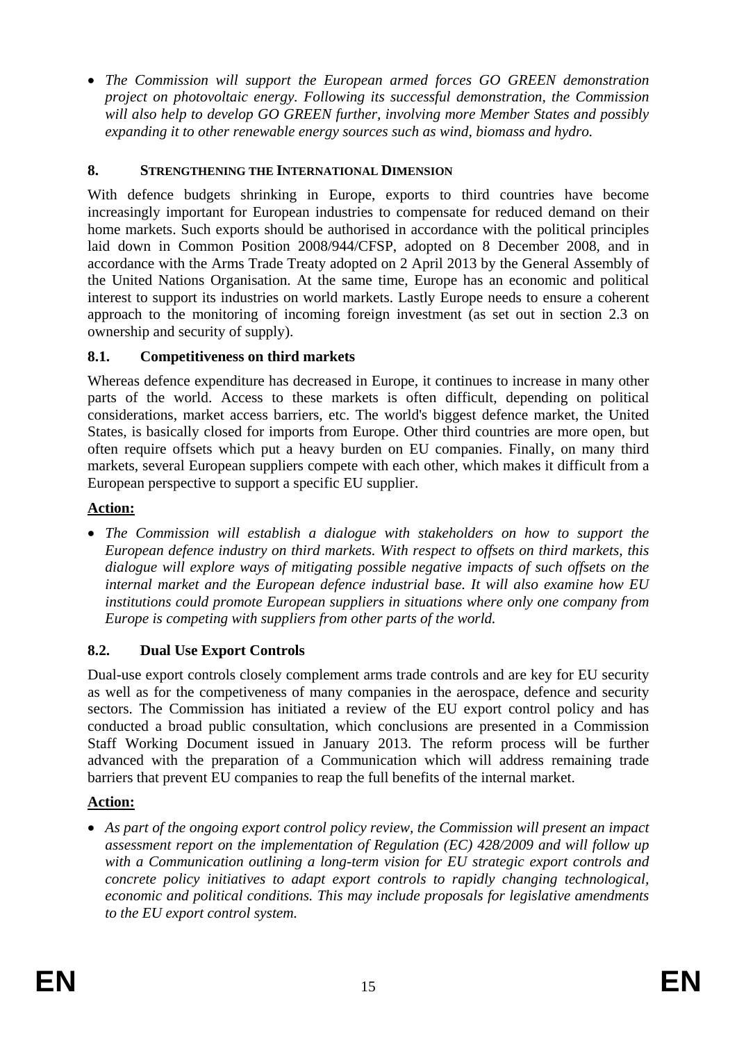• *The Commission will support the European armed forces GO GREEN demonstration project on photovoltaic energy. Following its successful demonstration, the Commission will also help to develop GO GREEN further, involving more Member States and possibly expanding it to other renewable energy sources such as wind, biomass and hydro.* 

### **8. STRENGTHENING THE INTERNATIONAL DIMENSION**

With defence budgets shrinking in Europe, exports to third countries have become increasingly important for European industries to compensate for reduced demand on their home markets. Such exports should be authorised in accordance with the political principles laid down in Common Position 2008/944/CFSP, adopted on 8 December 2008, and in accordance with the Arms Trade Treaty adopted on 2 April 2013 by the General Assembly of the United Nations Organisation. At the same time, Europe has an economic and political interest to support its industries on world markets. Lastly Europe needs to ensure a coherent approach to the monitoring of incoming foreign investment (as set out in section 2.3 on ownership and security of supply).

# **8.1. Competitiveness on third markets**

Whereas defence expenditure has decreased in Europe, it continues to increase in many other parts of the world. Access to these markets is often difficult, depending on political considerations, market access barriers, etc. The world's biggest defence market, the United States, is basically closed for imports from Europe. Other third countries are more open, but often require offsets which put a heavy burden on EU companies. Finally, on many third markets, several European suppliers compete with each other, which makes it difficult from a European perspective to support a specific EU supplier.

# **Action:**

• The Commission will establish a dialogue with stakeholders on how to support the *European defence industry on third markets. With respect to offsets on third markets, this dialogue will explore ways of mitigating possible negative impacts of such offsets on the internal market and the European defence industrial base. It will also examine how EU institutions could promote European suppliers in situations where only one company from Europe is competing with suppliers from other parts of the world.* 

# **8.2. Dual Use Export Controls**

Dual-use export controls closely complement arms trade controls and are key for EU security as well as for the competiveness of many companies in the aerospace, defence and security sectors. The Commission has initiated a review of the EU export control policy and has conducted a broad public consultation, which conclusions are presented in a Commission Staff Working Document issued in January 2013. The reform process will be further advanced with the preparation of a Communication which will address remaining trade barriers that prevent EU companies to reap the full benefits of the internal market.

#### **Action:**

• *As part of the ongoing export control policy review, the Commission will present an impact assessment report on the implementation of Regulation (EC) 428/2009 and will follow up with a Communication outlining a long-term vision for EU strategic export controls and concrete policy initiatives to adapt export controls to rapidly changing technological, economic and political conditions. This may include proposals for legislative amendments to the EU export control system.*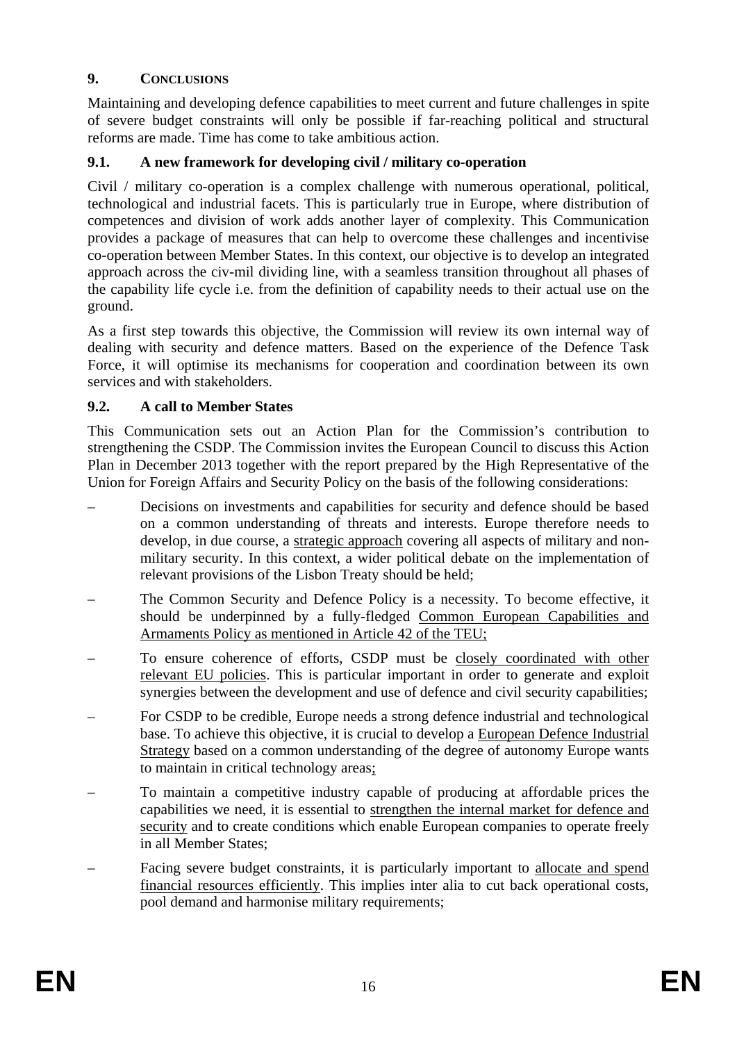# **9. CONCLUSIONS**

Maintaining and developing defence capabilities to meet current and future challenges in spite of severe budget constraints will only be possible if far-reaching political and structural reforms are made. Time has come to take ambitious action.

### **9.1. A new framework for developing civil / military co-operation**

Civil / military co-operation is a complex challenge with numerous operational, political, technological and industrial facets. This is particularly true in Europe, where distribution of competences and division of work adds another layer of complexity. This Communication provides a package of measures that can help to overcome these challenges and incentivise co-operation between Member States. In this context, our objective is to develop an integrated approach across the civ-mil dividing line, with a seamless transition throughout all phases of the capability life cycle i.e. from the definition of capability needs to their actual use on the ground.

As a first step towards this objective, the Commission will review its own internal way of dealing with security and defence matters. Based on the experience of the Defence Task Force, it will optimise its mechanisms for cooperation and coordination between its own services and with stakeholders.

### **9.2. A call to Member States**

This Communication sets out an Action Plan for the Commission's contribution to strengthening the CSDP. The Commission invites the European Council to discuss this Action Plan in December 2013 together with the report prepared by the High Representative of the Union for Foreign Affairs and Security Policy on the basis of the following considerations:

- Decisions on investments and capabilities for security and defence should be based on a common understanding of threats and interests. Europe therefore needs to develop, in due course, a strategic approach covering all aspects of military and nonmilitary security. In this context, a wider political debate on the implementation of relevant provisions of the Lisbon Treaty should be held;
- The Common Security and Defence Policy is a necessity. To become effective, it should be underpinned by a fully-fledged Common European Capabilities and Armaments Policy as mentioned in Article 42 of the TEU;
- To ensure coherence of efforts, CSDP must be closely coordinated with other relevant EU policies. This is particular important in order to generate and exploit synergies between the development and use of defence and civil security capabilities;
- For CSDP to be credible, Europe needs a strong defence industrial and technological base. To achieve this objective, it is crucial to develop a European Defence Industrial Strategy based on a common understanding of the degree of autonomy Europe wants to maintain in critical technology areas;
- To maintain a competitive industry capable of producing at affordable prices the capabilities we need, it is essential to strengthen the internal market for defence and security and to create conditions which enable European companies to operate freely in all Member States;
- Facing severe budget constraints, it is particularly important to allocate and spend financial resources efficiently. This implies inter alia to cut back operational costs, pool demand and harmonise military requirements;